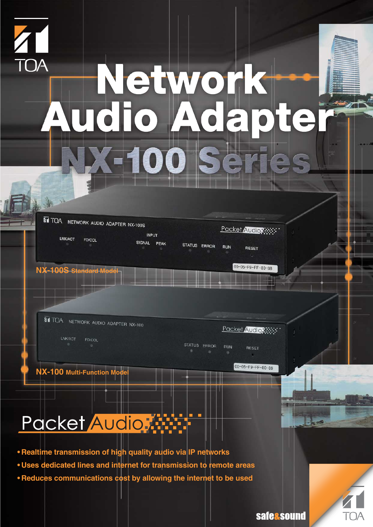

# Network<br>Audio Adapter

TOA NETWORK AUDIO ADAPTER NX-100S

Packet Audio XXX **INPUT** LNK/ACT FD/COL SIGNAL PEAK STATUS ERROR **RUN RESET** 

**NX-100S Standard Model**

**ET TOA NETWORK AUDIO ADAPTER NX-100** 

LNK/ACT FD/COL

Packet Audio Reserve

00-05-F9-FF-80-88

STATUS ERROR RUN RESET

**NX-100 Multi-Function M** 

00-05-F9-FF-80-89

**safe&sound** 

# Packet Audio

- **• Realtime transmission of high quality audio via IP networks**
- **• Uses dedicated lines and internet for transmission to remote areas**
- **• Reduces communications cost by allowing the internet to be used**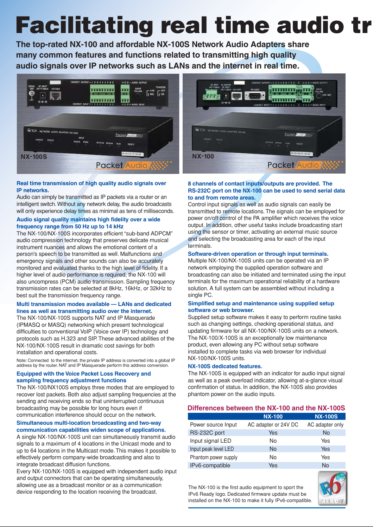# **Facilitating real time audio tr**

**The top-rated NX-100 and affordable NX-100S Network Audio Adapters share many common features and functions related to transmitting high quality audio signals over IP networks such as LANs and the internet in real time.**



# **Real time transmission of high quality audio signals over IP networks.**

Audio can simply be transmitted as IP packets via a router or an intelligent switch. Without any network delay, the audio broadcasts will only experience delay times as minimal as tens of milliseconds.

## **Audio signal quality maintains high fidelity over a wide frequency range from 50 Hz up to 14 kHz**

The NX-100/NX-100S incorporates efficient "sub-band ADPCM" audio compression technology that preserves delicate musical instrument nuances and allows the emotional content of a person's speech to be transmitted as well. Malfunctions and emergency signals and other sounds can also be accurately monitored and evaluated thanks to the high level of fidelity. If a higher level of audio performance is required, the NX-100 will also uncompress (PCM) audio transmission. Sampling frequency transmission rates can be selected at 8kHz, 16kHz, or 32kHz to best suit the transmission frequency range.

# **Multi transmission modes available — LANs and dedicated lines as well as transmitting audio over the internet.**

The NX-100/NX-100S supports NAT and IP Masquerade (IPMASQ or MASQ) networking which present technological difficulties to conventional VoIP (Voice over IP) technology and protocols such as H.323 and SIP. These advanced abilities of the NX-100/NX-100S result in dramatic cost savings for both installation and operational costs.

Note: Connected to the internet, the private IP address is converted into a global IP address by the router. NAT and IP Masquerade perform this address conversion.

# **Equipped with the Voice Packet Loss Recovery and sampling frequency adjustment functions**

The NX-100/NX100S employs three modes that are employed to recover lost packets. Both also adjust sampling frequencies at the sending and receiving ends so that uninterrupted continuous broadcasting may be possible for long hours even if communication interference should occur on the network.

# **Simultaneous multi-location broadcasting and two-way communication capabilities widen scope of applications.**

A single NX-100/NX-100S unit can simultaneously transmit audio signals to a maximum of 4 locations in the Unicast mode and to up to 64 locations in the Multicast mode. This makes it possible to effectively perform company-wide broadcasting and also to integrate broadcast diffusion functions.

Every NX-100/NX-100S is equipped with independent audio input and output connectors that can be operating simultaneously, allowing use as a broadcast monitor or as a communication device responding to the location receiving the broadcast.



# **8 channels of contact inputs/outputs are provided. The RS-232C port on the NX-100 can be used to send serial data to and from remote areas.**

Control input signals as well as audio signals can easily be transmitted to remote locations. The signals can be employed for power on/off control of the PA amplifier which receives the voice output. In addition, other useful tasks include broadcasting start using the sensor or timer, activating an external music source and selecting the broadcasting area for each of the input terminals.

# **Software-driven operation or through input terminals.**

Multiple NX-100/NX-100S units can be operated via an IP network employing the supplied operation software and broadcasting can also be initiated and terminated using the input terminals for the maximum operational reliability of a hardware solution. A full system can be assembled without including a single PC.

# **Simplified setup and maintenance using supplied setup software or web browser.**

Supplied setup software makes it easy to perform routine tasks such as changing settings, checking operational status, and updating firmware for all NX-100/NX-100S units on a network. The NX-100/X-100S is an exceptionally low maintenance product, even allowing any PC without setup software installed to complete tasks via web browser for individual NX-100/NX-100S units.

# **NX-100S dedicated features.**

The NX-100S is equipped with an indicator for audio input signal as well as a peak overload indicator, allowing at-a-glance visual confirmation of status. In addition, the NX-100S also provides phantom power on the audio inputs.

# **Differences between the NX-100 and the NX-100S**

|                      | <b>NX-100</b>        | <b>NX-100S</b>  |  |
|----------------------|----------------------|-----------------|--|
| Power source Input   | AC adapter or 24V DC | AC adapter only |  |
| RS-232C port         | Yes                  | <b>No</b>       |  |
| Input signal LED     | No                   | Yes             |  |
| Input peak level LED | <b>No</b>            | Yes             |  |
| Phantom power supply | No                   | Yes             |  |
| IPv6-compatible      | Yes                  | No              |  |

The NX-100 is the first audio equipment to sport the IPv6 Ready logo. Dedicated firmware update must be installed on the NX-100 to make it fully IPv6-compatible.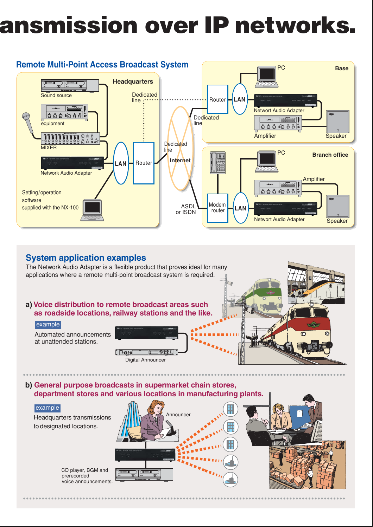# **ansmission over IP networks.**



# **System application examples**

The Network Audio Adapter is a flexible product that proves ideal for many applications where a remote multi-point broadcast system is required.

# **a) Voice distribution to remote broadcast areas such as roadside locations, railway stations and the like.**



Automated announcements at unattended stations.





**b) General purpose broadcasts in supermarket chain stores, department stores and various locations in manufacturing plants.**

# example

Headquarters transmissions to designated locations.

> CD player, BGM and prerecorded voice announcements.